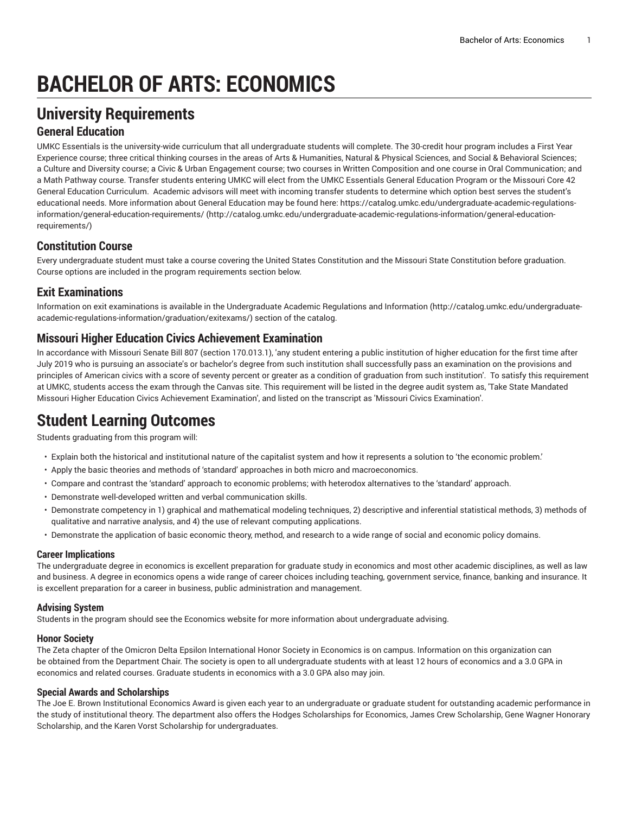# **BACHELOR OF ARTS: ECONOMICS**

# **University Requirements**

### **General Education**

UMKC Essentials is the university-wide curriculum that all undergraduate students will complete. The 30-credit hour program includes a First Year Experience course; three critical thinking courses in the areas of Arts & Humanities, Natural & Physical Sciences, and Social & Behavioral Sciences; a Culture and Diversity course; a Civic & Urban Engagement course; two courses in Written Composition and one course in Oral Communication; and a Math Pathway course. Transfer students entering UMKC will elect from the UMKC Essentials General Education Program or the Missouri Core 42 General Education Curriculum. Academic advisors will meet with incoming transfer students to determine which option best serves the student's educational needs. More information about General Education may be found here: [https://catalog.umkc.edu/undergraduate-academic-regulations](http://catalog.umkc.edu/undergraduate-academic-regulations-information/general-education-requirements/)[information/general-education-requirements/](http://catalog.umkc.edu/undergraduate-academic-regulations-information/general-education-requirements/) ([http://catalog.umkc.edu/undergraduate-academic-regulations-information/general-education](http://catalog.umkc.edu/undergraduate-academic-regulations-information/general-education-requirements/)[requirements/\)](http://catalog.umkc.edu/undergraduate-academic-regulations-information/general-education-requirements/)

### **Constitution Course**

Every undergraduate student must take a course covering the United States Constitution and the Missouri State Constitution before graduation. Course options are included in the program requirements section below.

### **Exit Examinations**

Information on exit examinations is available in the [Undergraduate](http://catalog.umkc.edu/undergraduate-academic-regulations-information/graduation/exitexams/) Academic Regulations and Information [\(http://catalog.umkc.edu/undergraduate](http://catalog.umkc.edu/undergraduate-academic-regulations-information/graduation/exitexams/)[academic-regulations-information/graduation/exitexams/](http://catalog.umkc.edu/undergraduate-academic-regulations-information/graduation/exitexams/)) section of the catalog.

### **Missouri Higher Education Civics Achievement Examination**

In accordance with Missouri Senate Bill 807 (section 170.013.1), 'any student entering a public institution of higher education for the first time after July 2019 who is pursuing an associate's or bachelor's degree from such institution shall successfully pass an examination on the provisions and principles of American civics with a score of seventy percent or greater as a condition of graduation from such institution'. To satisfy this requirement at UMKC, students access the exam through the Canvas site. This requirement will be listed in the degree audit system as, 'Take State Mandated Missouri Higher Education Civics Achievement Examination', and listed on the transcript as 'Missouri Civics Examination'.

# **Student Learning Outcomes**

Students graduating from this program will:

- Explain both the historical and institutional nature of the capitalist system and how it represents a solution to 'the economic problem.'
- Apply the basic theories and methods of 'standard' approaches in both micro and macroeconomics.
- Compare and contrast the 'standard' approach to economic problems; with heterodox alternatives to the 'standard' approach.
- Demonstrate well-developed written and verbal communication skills.
- Demonstrate competency in 1) graphical and mathematical modeling techniques, 2) descriptive and inferential statistical methods, 3) methods of qualitative and narrative analysis, and 4) the use of relevant computing applications.
- Demonstrate the application of basic economic theory, method, and research to a wide range of social and economic policy domains.

#### **Career Implications**

The undergraduate degree in economics is excellent preparation for graduate study in economics and most other academic disciplines, as well as law and business. A degree in economics opens a wide range of career choices including teaching, government service, finance, banking and insurance. It is excellent preparation for a career in business, public administration and management.

#### **Advising System**

Students in the program should see the Economics website for more information about undergraduate advising.

#### **Honor Society**

The Zeta chapter of the Omicron Delta Epsilon International Honor Society in Economics is on campus. Information on this organization can be obtained from the Department Chair. The society is open to all undergraduate students with at least 12 hours of economics and a 3.0 GPA in economics and related courses. Graduate students in economics with a 3.0 GPA also may join.

#### **Special Awards and Scholarships**

The Joe E. Brown Institutional Economics Award is given each year to an undergraduate or graduate student for outstanding academic performance in the study of institutional theory. The department also offers the Hodges Scholarships for Economics, James Crew Scholarship, Gene Wagner Honorary Scholarship, and the Karen Vorst Scholarship for undergraduates.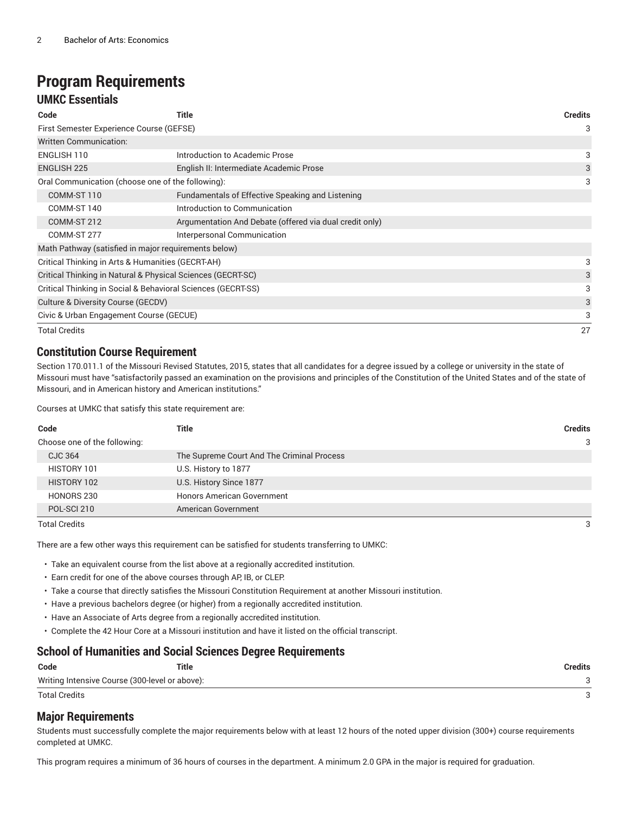# **Program Requirements**

### **UMKC Essentials**

| Code                                                         | Title                                                   | Credits |
|--------------------------------------------------------------|---------------------------------------------------------|---------|
| First Semester Experience Course (GEFSE)                     |                                                         |         |
| Written Communication:                                       |                                                         |         |
| ENGLISH 110                                                  | Introduction to Academic Prose                          | 3       |
| <b>ENGLISH 225</b>                                           | English II: Intermediate Academic Prose                 | 3       |
| Oral Communication (choose one of the following):            |                                                         | 3       |
| COMM-ST 110                                                  | Fundamentals of Effective Speaking and Listening        |         |
| COMM-ST 140                                                  | Introduction to Communication                           |         |
| COMM-ST 212                                                  | Argumentation And Debate (offered via dual credit only) |         |
| COMM-ST 277                                                  | Interpersonal Communication                             |         |
| Math Pathway (satisfied in major requirements below)         |                                                         |         |
| Critical Thinking in Arts & Humanities (GECRT-AH)            |                                                         |         |
| Critical Thinking in Natural & Physical Sciences (GECRT-SC)  |                                                         | 3       |
| Critical Thinking in Social & Behavioral Sciences (GECRT-SS) |                                                         | 3       |
| Culture & Diversity Course (GECDV)                           |                                                         |         |
| Civic & Urban Engagement Course (GECUE)                      |                                                         |         |
| <b>Total Credits</b>                                         |                                                         | 27      |

### **Constitution Course Requirement**

Section 170.011.1 of the Missouri Revised Statutes, 2015, states that all candidates for a degree issued by a college or university in the state of Missouri must have "satisfactorily passed an examination on the provisions and principles of the Constitution of the United States and of the state of Missouri, and in American history and American institutions."

Courses at UMKC that satisfy this state requirement are:

| Code                         | Title                                      | <b>Credits</b> |
|------------------------------|--------------------------------------------|----------------|
| Choose one of the following: |                                            | 3              |
| CJC 364                      | The Supreme Court And The Criminal Process |                |
| HISTORY 101                  | U.S. History to 1877                       |                |
| HISTORY 102                  | U.S. History Since 1877                    |                |
| HONORS 230                   | <b>Honors American Government</b>          |                |
| POL-SCI 210                  | American Government                        |                |

Total Credits 3

There are a few other ways this requirement can be satisfied for students transferring to UMKC:

• Take an equivalent course from the list above at a regionally accredited institution.

- Earn credit for one of the above courses through AP, IB, or CLEP.
- Take a course that directly satisfies the Missouri Constitution Requirement at another Missouri institution.
- Have a previous bachelors degree (or higher) from a regionally accredited institution.
- Have an Associate of Arts degree from a regionally accredited institution.
- Complete the 42 Hour Core at a Missouri institution and have it listed on the official transcript.

#### **School of Humanities and Social Sciences Degree Requirements**

| Code                                           | Title | Credits |
|------------------------------------------------|-------|---------|
| Writing Intensive Course (300-level or above): |       |         |
| Total Credits                                  |       |         |

#### **Major Requirements**

Students must successfully complete the major requirements below with at least 12 hours of the noted upper division (300+) course requirements completed at UMKC.

This program requires a minimum of 36 hours of courses in the department. A minimum 2.0 GPA in the major is required for graduation.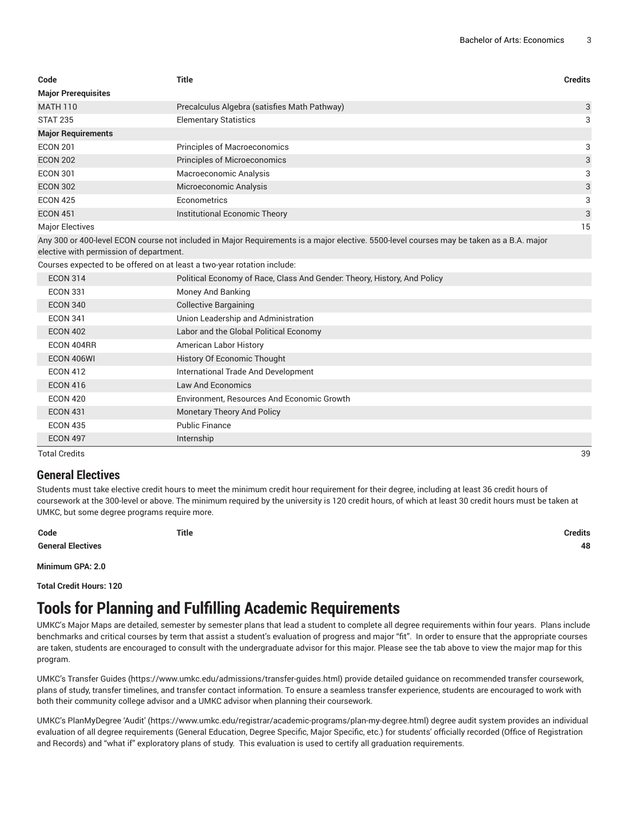| Code                                                                    | <b>Title</b>                                                                                                                             | <b>Credits</b> |
|-------------------------------------------------------------------------|------------------------------------------------------------------------------------------------------------------------------------------|----------------|
| <b>Major Prerequisites</b>                                              |                                                                                                                                          |                |
| <b>MATH 110</b>                                                         | Precalculus Algebra (satisfies Math Pathway)                                                                                             | 3              |
| <b>STAT 235</b>                                                         | <b>Elementary Statistics</b>                                                                                                             | 3              |
| <b>Major Requirements</b>                                               |                                                                                                                                          |                |
| <b>ECON 201</b>                                                         | <b>Principles of Macroeconomics</b>                                                                                                      | 3              |
| <b>ECON 202</b>                                                         | Principles of Microeconomics                                                                                                             | 3              |
| <b>ECON 301</b>                                                         | Macroeconomic Analysis                                                                                                                   | 3              |
| <b>ECON 302</b>                                                         | Microeconomic Analysis                                                                                                                   | 3              |
| <b>ECON 425</b>                                                         | Econometrics                                                                                                                             | 3              |
| <b>ECON 451</b>                                                         | Institutional Economic Theory                                                                                                            | 3              |
| <b>Major Electives</b>                                                  |                                                                                                                                          | 15             |
| elective with permission of department.                                 | Any 300 or 400-level ECON course not included in Major Requirements is a major elective. 5500-level courses may be taken as a B.A. major |                |
| Courses expected to be offered on at least a two-year rotation include: |                                                                                                                                          |                |
| <b>ECON 314</b>                                                         | Political Economy of Race, Class And Gender. Theory, History, And Policy                                                                 |                |
| <b>ECON 331</b>                                                         | Money And Banking                                                                                                                        |                |
| <b>ECON 340</b>                                                         | <b>Collective Bargaining</b>                                                                                                             |                |
| <b>ECON 341</b>                                                         | Union Leadership and Administration                                                                                                      |                |
| <b>ECON 402</b>                                                         | Labor and the Global Political Economy                                                                                                   |                |
| ECON 404RR                                                              | American Labor History                                                                                                                   |                |
| ECON 406WI                                                              | History Of Economic Thought                                                                                                              |                |
| <b>ECON 412</b>                                                         | International Trade And Development                                                                                                      |                |
| <b>ECON 416</b>                                                         | Law And Economics                                                                                                                        |                |
| <b>ECON 420</b>                                                         | Environment, Resources And Economic Growth                                                                                               |                |
| <b>ECON 431</b>                                                         | <b>Monetary Theory And Policy</b>                                                                                                        |                |
| <b>ECON 435</b>                                                         | <b>Public Finance</b>                                                                                                                    |                |
| <b>ECON 497</b>                                                         | Internship                                                                                                                               |                |

Total Credits 39

#### **General Electives**

Students must take elective credit hours to meet the minimum credit hour requirement for their degree, including at least 36 credit hours of coursework at the 300-level or above. The minimum required by the university is 120 credit hours, of which at least 30 credit hours must be taken at UMKC, but some degree programs require more.

**Code Title Credits**

**General Electives 48**

**Minimum GPA: 2.0**

**Total Credit Hours: 120**

# **Tools for Planning and Fulfilling Academic Requirements**

UMKC's Major Maps are detailed, semester by semester plans that lead a student to complete all degree requirements within four years. Plans include benchmarks and critical courses by term that assist a student's evaluation of progress and major "fit". In order to ensure that the appropriate courses are taken, students are encouraged to consult with the undergraduate advisor for this major. Please see the tab above to view the major map for this program.

UMKC's [Transfer](https://www.umkc.edu/admissions/transfer-guides.html) Guides [\(https://www.umkc.edu/admissions/transfer-guides.html](https://www.umkc.edu/admissions/transfer-guides.html)) provide detailed guidance on recommended transfer coursework, plans of study, transfer timelines, and transfer contact information. To ensure a seamless transfer experience, students are encouraged to work with both their community college advisor and a UMKC advisor when planning their coursework.

UMKC's [PlanMyDegree](https://www.umkc.edu/registrar/academic-programs/plan-my-degree.html) 'Audit' ([https://www.umkc.edu/registrar/academic-programs/plan-my-degree.html\)](https://www.umkc.edu/registrar/academic-programs/plan-my-degree.html) degree audit system provides an individual evaluation of all degree requirements (General Education, Degree Specific, Major Specific, etc.) for students' officially recorded (Office of Registration and Records) and "what if" exploratory plans of study. This evaluation is used to certify all graduation requirements.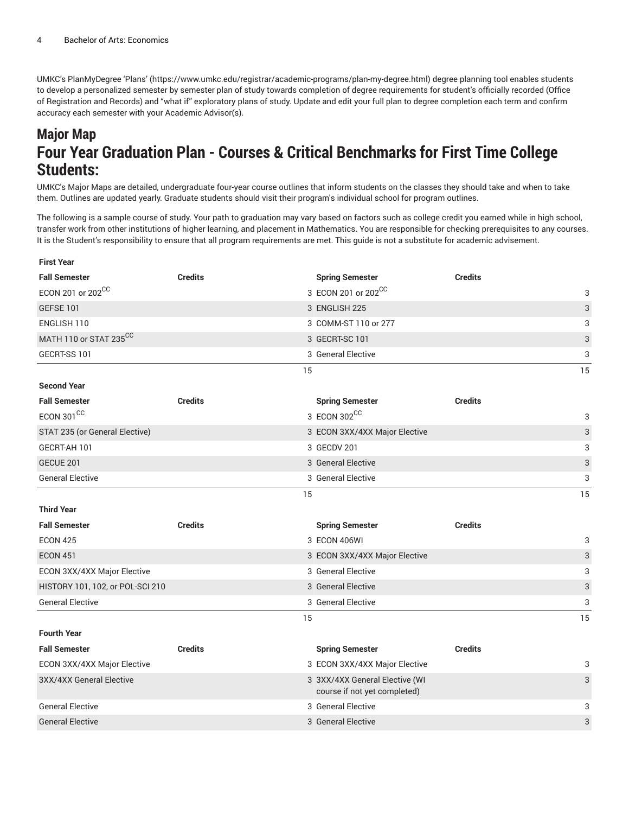UMKC's [PlanMyDegree](https://www.umkc.edu/registrar/academic-programs/plan-my-degree.html) 'Plans' [\(https://www.umkc.edu/registrar/academic-programs/plan-my-degree.html\)](https://www.umkc.edu/registrar/academic-programs/plan-my-degree.html) degree planning tool enables students to develop a personalized semester by semester plan of study towards completion of degree requirements for student's officially recorded (Office of Registration and Records) and "what if" exploratory plans of study. Update and edit your full plan to degree completion each term and confirm accuracy each semester with your Academic Advisor(s).

## **Major Map Four Year Graduation Plan - Courses & Critical Benchmarks for First Time College Students:**

UMKC's Major Maps are detailed, undergraduate four-year course outlines that inform students on the classes they should take and when to take them. Outlines are updated yearly. Graduate students should visit their program's individual school for program outlines.

The following is a sample course of study. Your path to graduation may vary based on factors such as college credit you earned while in high school, transfer work from other institutions of higher learning, and placement in Mathematics. You are responsible for checking prerequisites to any courses. It is the Student's responsibility to ensure that all program requirements are met. This guide is not a substitute for academic advisement.

| <b>First Year</b>                |                |    |                                                                |                |                           |
|----------------------------------|----------------|----|----------------------------------------------------------------|----------------|---------------------------|
| <b>Fall Semester</b>             | <b>Credits</b> |    | <b>Spring Semester</b>                                         | <b>Credits</b> |                           |
| ECON 201 or 202 <sup>CC</sup>    |                |    | 3 ECON 201 or 202 <sup>CC</sup>                                |                | 3                         |
| <b>GEFSE 101</b>                 |                |    | 3 ENGLISH 225                                                  |                | $\ensuremath{\mathsf{3}}$ |
| ENGLISH 110                      |                |    | 3 COMM-ST 110 or 277                                           |                | 3                         |
| MATH 110 or STAT 235CC           |                |    | 3 GECRT-SC 101                                                 |                | 3                         |
| GECRT-SS 101                     |                |    | 3 General Elective                                             |                | 3                         |
|                                  |                | 15 |                                                                |                | 15                        |
| <b>Second Year</b>               |                |    |                                                                |                |                           |
| <b>Fall Semester</b>             | <b>Credits</b> |    | <b>Spring Semester</b>                                         | <b>Credits</b> |                           |
| ECON 301 $\mathrm{^{CC}}$        |                |    | 3 ECON 302CC                                                   |                | 3                         |
| STAT 235 (or General Elective)   |                |    | 3 ECON 3XX/4XX Major Elective                                  |                | $\ensuremath{\mathsf{3}}$ |
| GECRT-AH 101                     |                |    | 3 GECDV 201                                                    |                | $\ensuremath{\mathsf{3}}$ |
| GECUE 201                        |                |    | 3 General Elective                                             |                | $\ensuremath{\mathsf{3}}$ |
| <b>General Elective</b>          |                |    | 3 General Elective                                             |                | 3                         |
|                                  |                | 15 |                                                                |                | 15                        |
| <b>Third Year</b>                |                |    |                                                                |                |                           |
| <b>Fall Semester</b>             | <b>Credits</b> |    | <b>Spring Semester</b>                                         | <b>Credits</b> |                           |
| <b>ECON 425</b>                  |                |    | 3 ECON 406WI                                                   |                | 3                         |
| <b>ECON 451</b>                  |                |    | 3 ECON 3XX/4XX Major Elective                                  |                | $\ensuremath{\mathsf{3}}$ |
| ECON 3XX/4XX Major Elective      |                |    | 3 General Elective                                             |                | 3                         |
| HISTORY 101, 102, or POL-SCI 210 |                |    | 3 General Elective                                             |                | 3                         |
| <b>General Elective</b>          |                |    | 3 General Elective                                             |                | 3                         |
|                                  |                | 15 |                                                                |                | 15                        |
| <b>Fourth Year</b>               |                |    |                                                                |                |                           |
| <b>Fall Semester</b>             | <b>Credits</b> |    | <b>Spring Semester</b>                                         | <b>Credits</b> |                           |
| ECON 3XX/4XX Major Elective      |                |    | 3 ECON 3XX/4XX Major Elective                                  |                | 3                         |
| 3XX/4XX General Elective         |                |    | 3 3XX/4XX General Elective (WI<br>course if not yet completed) |                | 3                         |
| <b>General Elective</b>          |                |    | 3 General Elective                                             |                | 3                         |
| <b>General Elective</b>          |                |    | 3 General Elective                                             |                | 3                         |